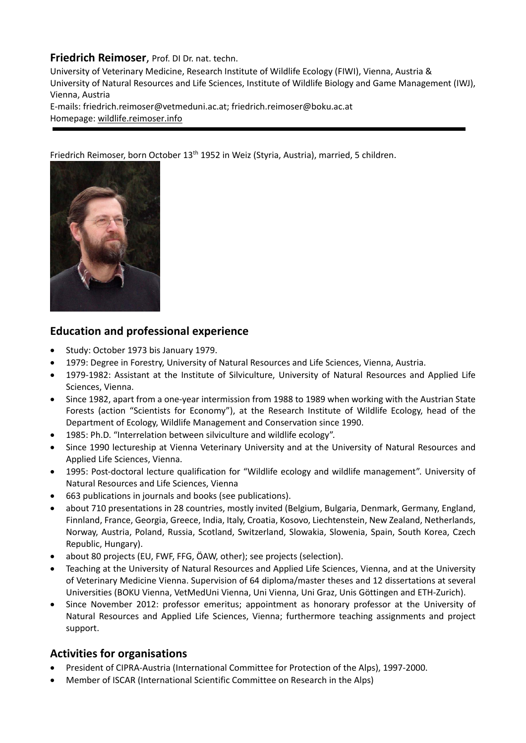## **Friedrich Reimoser**, Prof. DI Dr. nat. techn.

University of Veterinary Medicine, Research Institute of Wildlife Ecology (FIWI), Vienna, Austria & University of Natural Resources and Life Sciences, Institute of Wildlife Biology and Game Management (IWJ), Vienna, Austria E‐mails: friedrich.reimoser@vetmeduni.ac.at; friedrich.reimoser@boku.ac.at Homepage: wildlife.reimoser.info

Friedrich Reimoser, born October 13<sup>th</sup> 1952 in Weiz (Styria, Austria), married, 5 children.



## **Education and professional experience**

- Study: October 1973 bis January 1979.
- 1979: Degree in Forestry, University of Natural Resources and Life Sciences, Vienna, Austria.
- 1979‐1982: Assistant at the Institute of Silviculture, University of Natural Resources and Applied Life Sciences, Vienna.
- Since 1982, apart from a one-year intermission from 1988 to 1989 when working with the Austrian State Forests (action "Scientists for Economy"), at the Research Institute of Wildlife Ecology, head of the Department of Ecology, Wildlife Management and Conservation since 1990.
- 1985: Ph.D. "Interrelation between silviculture and wildlife ecology".
- Since 1990 lectureship at Vienna Veterinary University and at the University of Natural Resources and Applied Life Sciences, Vienna.
- 1995: Post-doctoral lecture qualification for "Wildlife ecology and wildlife management". University of Natural Resources and Life Sciences, Vienna
- 663 publications in journals and books (see publications).
- about 710 presentations in 28 countries, mostly invited (Belgium, Bulgaria, Denmark, Germany, England, Finnland, France, Georgia, Greece, India, Italy, Croatia, Kosovo, Liechtenstein, New Zealand, Netherlands, Norway, Austria, Poland, Russia, Scotland, Switzerland, Slowakia, Slowenia, Spain, South Korea, Czech Republic, Hungary).
- about 80 projects (EU, FWF, FFG, ÖAW, other); see projects (selection).
- Teaching at the University of Natural Resources and Applied Life Sciences, Vienna, and at the University of Veterinary Medicine Vienna. Supervision of 64 diploma/master theses and 12 dissertations at several Universities (BOKU Vienna, VetMedUni Vienna, Uni Vienna, Uni Graz, Unis Göttingen and ETH‐Zurich).
- Since November 2012: professor emeritus; appointment as honorary professor at the University of Natural Resources and Applied Life Sciences, Vienna; furthermore teaching assignments and project support.

## **Activities for organisations**

- President of CIPRA‐Austria (International Committee for Protection of the Alps), 1997‐2000.
- Member of ISCAR (International Scientific Committee on Research in the Alps)